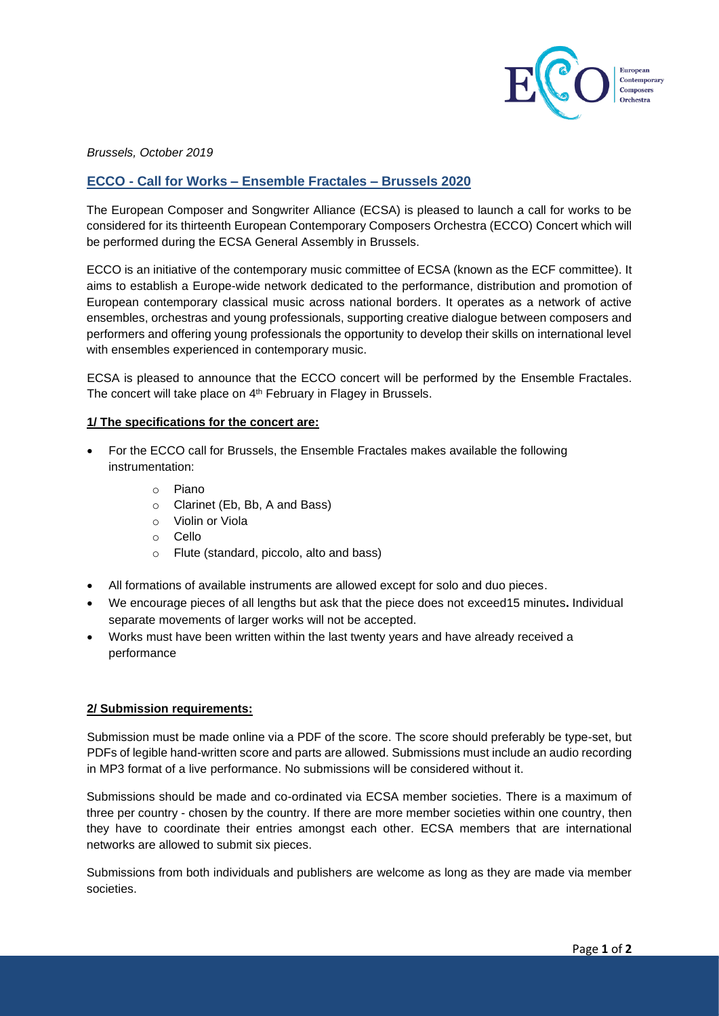

*Brussels, October 2019*

# **ECCO - Call for Works – Ensemble Fractales – Brussels 2020**

The European Composer and Songwriter Alliance (ECSA) is pleased to launch a call for works to be considered for its thirteenth European Contemporary Composers Orchestra (ECCO) Concert which will be performed during the ECSA General Assembly in Brussels.

ECCO is an initiative of the contemporary music committee of ECSA (known as the ECF committee). It aims to establish a Europe-wide network dedicated to the performance, distribution and promotion of European contemporary classical music across national borders. It operates as a network of active ensembles, orchestras and young professionals, supporting creative dialogue between composers and performers and offering young professionals the opportunity to develop their skills on international level with ensembles experienced in contemporary music.

ECSA is pleased to announce that the ECCO concert will be performed by the Ensemble Fractales. The concert will take place on 4<sup>th</sup> February in Flagey in Brussels.

## **1/ The specifications for the concert are:**

- For the ECCO call for Brussels, the Ensemble Fractales makes available the following instrumentation:
	- o Piano
	- o Clarinet (Eb, Bb, A and Bass)
	- o Violin or Viola
	- o Cello
	- o Flute (standard, piccolo, alto and bass)
- All formations of available instruments are allowed except for solo and duo pieces.
- We encourage pieces of all lengths but ask that the piece does not exceed15 minutes**.** Individual separate movements of larger works will not be accepted.
- Works must have been written within the last twenty years and have already received a performance

#### **2/ Submission requirements:**

Submission must be made online via a PDF of the score. The score should preferably be type-set, but PDFs of legible hand-written score and parts are allowed. Submissions must include an audio recording in MP3 format of a live performance. No submissions will be considered without it.

Submissions should be made and co-ordinated via ECSA member societies. There is a maximum of three per country - chosen by the country. If there are more member societies within one country, then they have to coordinate their entries amongst each other. ECSA members that are international networks are allowed to submit six pieces.

Submissions from both individuals and publishers are welcome as long as they are made via member societies.